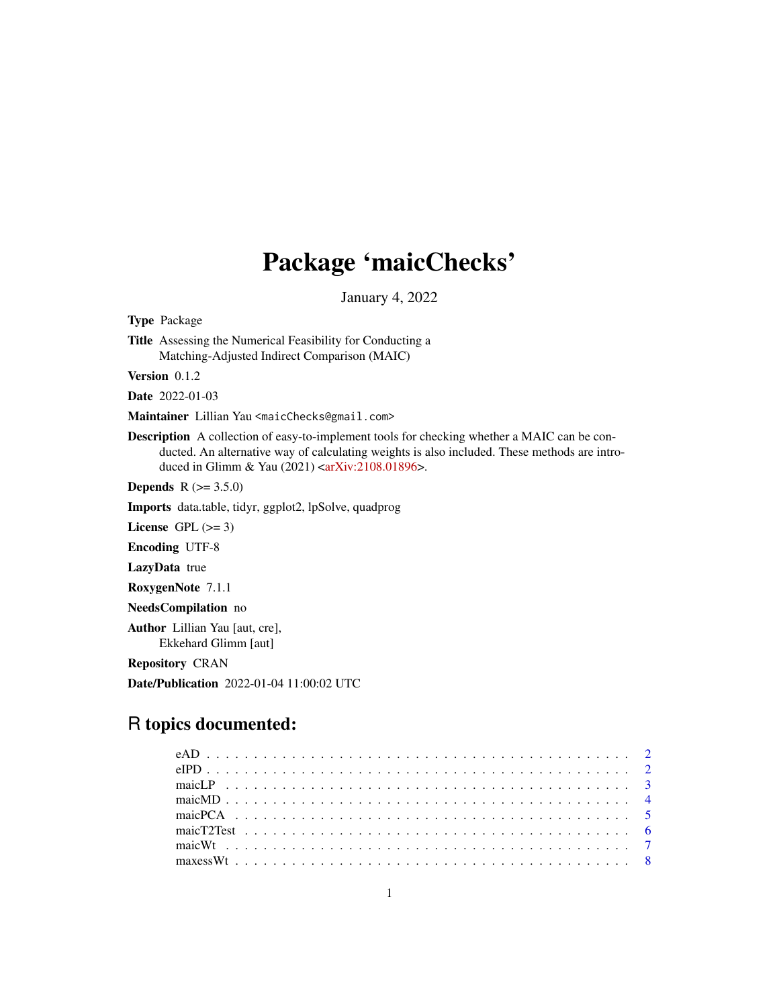## Package 'maicChecks'

January 4, 2022

Type Package

Title Assessing the Numerical Feasibility for Conducting a Matching-Adjusted Indirect Comparison (MAIC)

Version 0.1.2

Date 2022-01-03

Maintainer Lillian Yau <maicChecks@gmail.com>

Description A collection of easy-to-implement tools for checking whether a MAIC can be conducted. An alternative way of calculating weights is also included. These methods are intro-duced in Glimm & Yau (2021) [<arXiv:2108.01896>](https://arxiv.org/abs/2108.01896).

**Depends** R  $(>= 3.5.0)$ 

Imports data.table, tidyr, ggplot2, lpSolve, quadprog

License GPL  $(>= 3)$ 

Encoding UTF-8

LazyData true

RoxygenNote 7.1.1

NeedsCompilation no

Author Lillian Yau [aut, cre], Ekkehard Glimm [aut]

Repository CRAN

Date/Publication 2022-01-04 11:00:02 UTC

### R topics documented: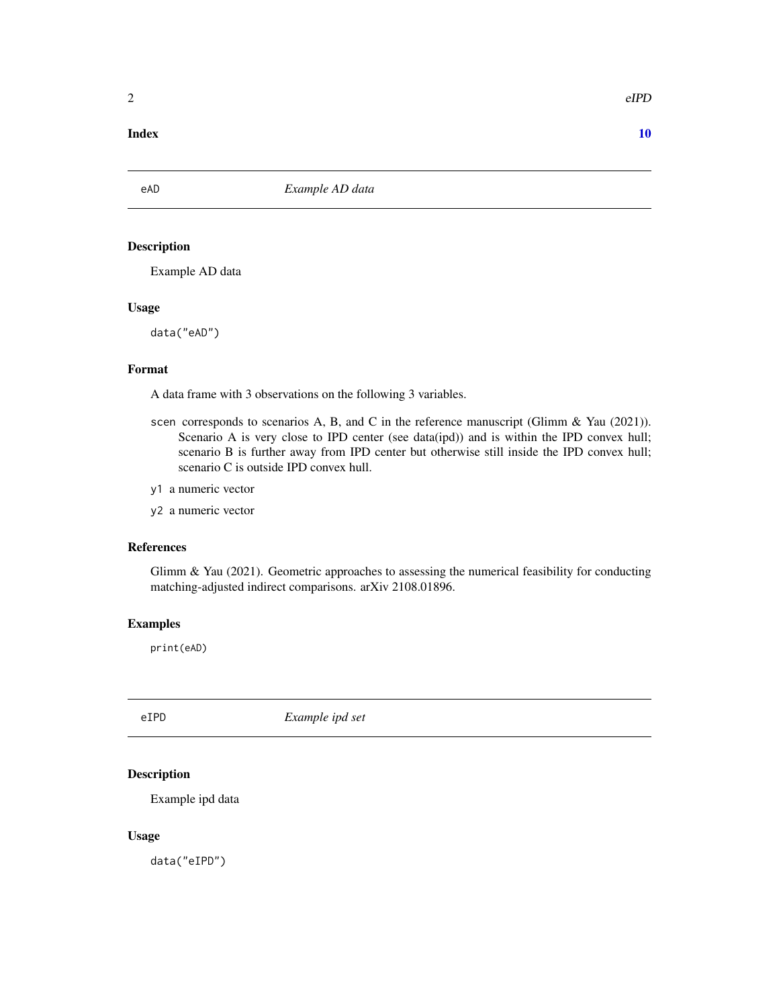#### <span id="page-1-0"></span> $\blacksquare$

eAD *Example AD data*

#### Description

Example AD data

#### Usage

data("eAD")

#### Format

A data frame with 3 observations on the following 3 variables.

- scen corresponds to scenarios A, B, and C in the reference manuscript (Glimm & Yau (2021)). Scenario A is very close to IPD center (see data(ipd)) and is within the IPD convex hull; scenario B is further away from IPD center but otherwise still inside the IPD convex hull; scenario C is outside IPD convex hull.
- y1 a numeric vector
- y2 a numeric vector

#### References

Glimm & Yau (2021). Geometric approaches to assessing the numerical feasibility for conducting matching-adjusted indirect comparisons. arXiv 2108.01896.

#### Examples

print(eAD)

eIPD *Example ipd set*

#### Description

Example ipd data

#### Usage

data("eIPD")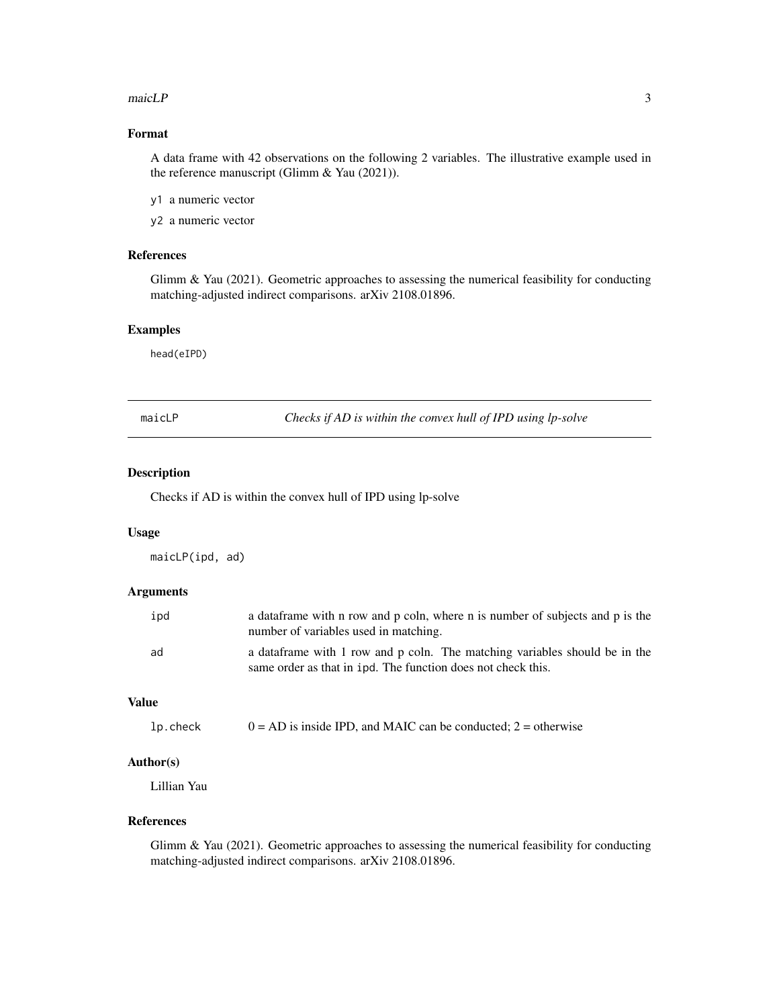#### <span id="page-2-0"></span> $\text{maicLP}$  3

#### Format

A data frame with 42 observations on the following 2 variables. The illustrative example used in the reference manuscript (Glimm & Yau (2021)).

- y1 a numeric vector
- y2 a numeric vector

#### References

Glimm & Yau (2021). Geometric approaches to assessing the numerical feasibility for conducting matching-adjusted indirect comparisons. arXiv 2108.01896.

#### Examples

head(eIPD)

maicLP *Checks if AD is within the convex hull of IPD using lp-solve*

#### Description

Checks if AD is within the convex hull of IPD using lp-solve

#### Usage

maicLP(ipd, ad)

#### Arguments

| ipd | a data frame with n row and p coln, where n is number of subjects and p is the<br>number of variables used in matching.                     |
|-----|---------------------------------------------------------------------------------------------------------------------------------------------|
| ad  | a data frame with 1 row and p coln. The matching variables should be in the<br>same order as that in ipd. The function does not check this. |

#### Value

| lp.check |  |  | $0 = AD$ is inside IPD, and MAIC can be conducted; 2 = otherwise |
|----------|--|--|------------------------------------------------------------------|
|----------|--|--|------------------------------------------------------------------|

#### Author(s)

Lillian Yau

#### References

Glimm & Yau (2021). Geometric approaches to assessing the numerical feasibility for conducting matching-adjusted indirect comparisons. arXiv 2108.01896.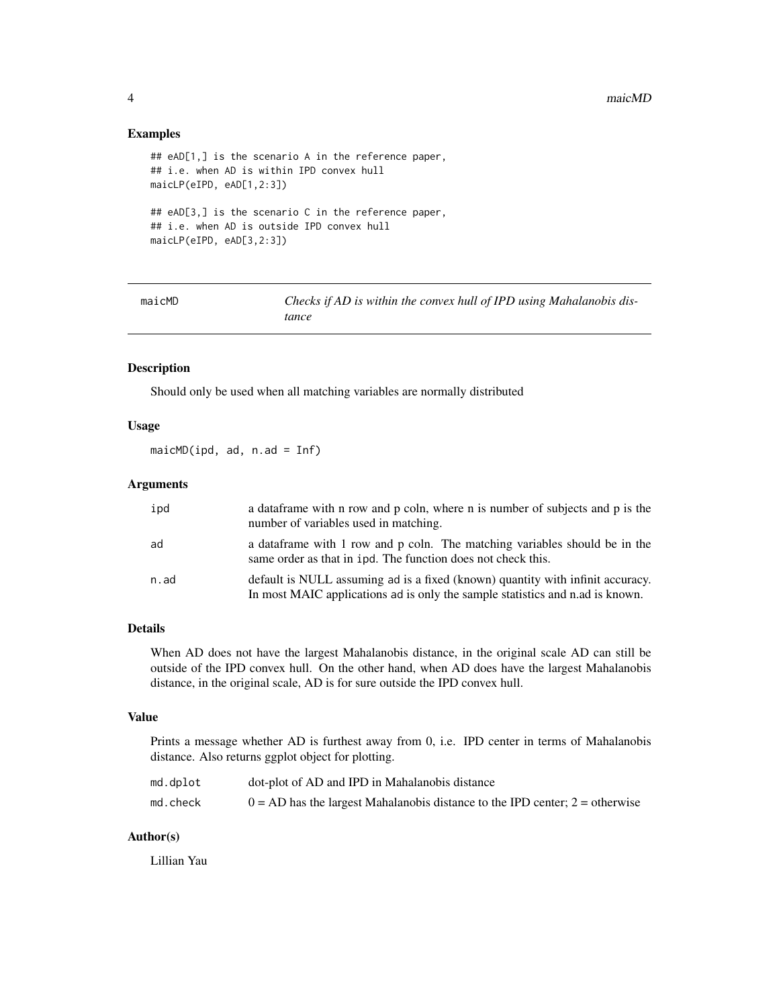#### Examples

```
## eAD[1,] is the scenario A in the reference paper,
## i.e. when AD is within IPD convex hull
maicLP(eIPD, eAD[1,2:3])
## eAD[3,] is the scenario C in the reference paper,
## i.e. when AD is outside IPD convex hull
maicLP(eIPD, eAD[3,2:3])
```
maicMD *Checks if AD is within the convex hull of IPD using Mahalanobis distance*

#### Description

Should only be used when all matching variables are normally distributed

#### Usage

maicMD(ipd, ad, n.ad = Inf)

#### Arguments

| ipd  | a data frame with n row and p coln, where n is number of subjects and p is the<br>number of variables used in matching.                                         |
|------|-----------------------------------------------------------------------------------------------------------------------------------------------------------------|
| ad   | a data frame with 1 row and p coln. The matching variables should be in the<br>same order as that in 1pd. The function does not check this.                     |
| n.ad | default is NULL assuming ad is a fixed (known) quantity with infinit accuracy.<br>In most MAIC applications ad is only the sample statistics and n.ad is known. |

#### Details

When AD does not have the largest Mahalanobis distance, in the original scale AD can still be outside of the IPD convex hull. On the other hand, when AD does have the largest Mahalanobis distance, in the original scale, AD is for sure outside the IPD convex hull.

#### Value

Prints a message whether AD is furthest away from 0, i.e. IPD center in terms of Mahalanobis distance. Also returns ggplot object for plotting.

| md.dplot | dot-plot of AD and IPD in Mahalanobis distance                                 |
|----------|--------------------------------------------------------------------------------|
| md.check | $0 = AD$ has the largest Mahalanobis distance to the IPD center; 2 = otherwise |

#### Author(s)

Lillian Yau

<span id="page-3-0"></span>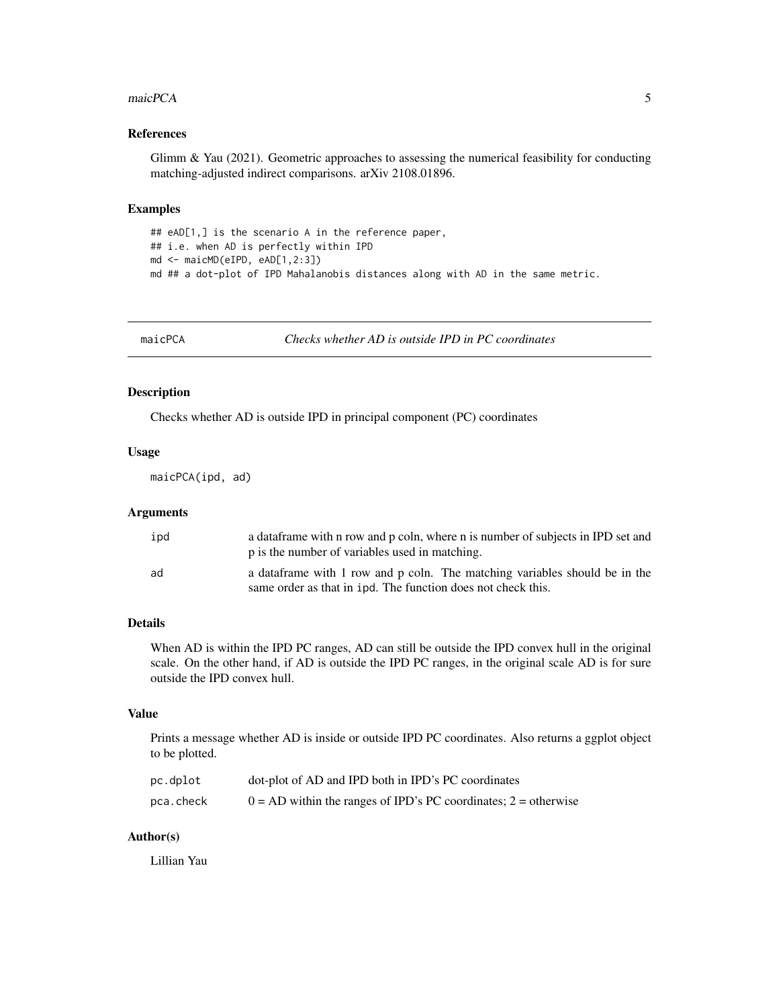#### <span id="page-4-0"></span>maicPCA 5

#### References

Glimm & Yau (2021). Geometric approaches to assessing the numerical feasibility for conducting matching-adjusted indirect comparisons. arXiv 2108.01896.

#### Examples

```
## eAD[1,] is the scenario A in the reference paper,
## i.e. when AD is perfectly within IPD
md <- maicMD(eIPD, eAD[1,2:3])
md ## a dot-plot of IPD Mahalanobis distances along with AD in the same metric.
```
maicPCA *Checks whether AD is outside IPD in PC coordinates*

#### Description

Checks whether AD is outside IPD in principal component (PC) coordinates

#### Usage

maicPCA(ipd, ad)

#### Arguments

| ipd | a data frame with n row and p coln, where n is number of subjects in IPD set and<br>p is the number of variables used in matching.          |
|-----|---------------------------------------------------------------------------------------------------------------------------------------------|
| ad  | a data frame with 1 row and p coln. The matching variables should be in the<br>same order as that in ipd. The function does not check this. |

#### Details

When AD is within the IPD PC ranges, AD can still be outside the IPD convex hull in the original scale. On the other hand, if AD is outside the IPD PC ranges, in the original scale AD is for sure outside the IPD convex hull.

#### Value

Prints a message whether AD is inside or outside IPD PC coordinates. Also returns a ggplot object to be plotted.

| pc.dplot  | dot-plot of AD and IPD both in IPD's PC coordinates               |
|-----------|-------------------------------------------------------------------|
| pca.check | $0 = AD$ within the ranges of IPD's PC coordinates; 2 = otherwise |

#### Author(s)

Lillian Yau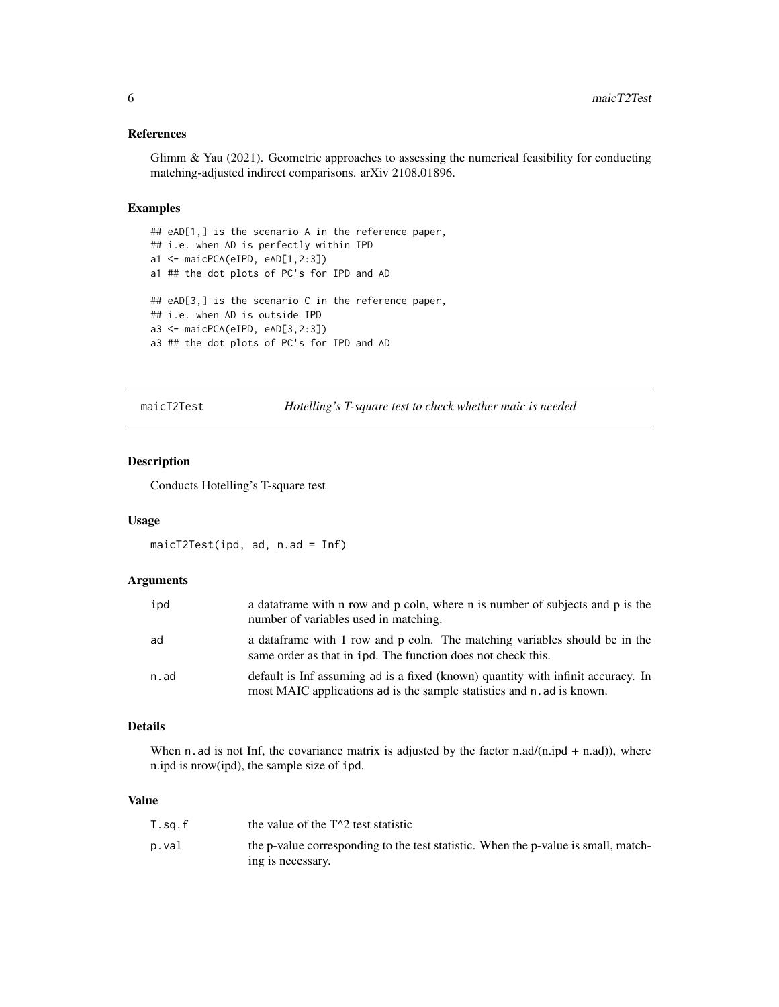#### <span id="page-5-0"></span>References

Glimm & Yau (2021). Geometric approaches to assessing the numerical feasibility for conducting matching-adjusted indirect comparisons. arXiv 2108.01896.

#### Examples

```
## eAD[1,] is the scenario A in the reference paper,
## i.e. when AD is perfectly within IPD
a1 <- maicPCA(eIPD, eAD[1,2:3])
a1 ## the dot plots of PC's for IPD and AD
## eAD[3,] is the scenario C in the reference paper,
## i.e. when AD is outside IPD
a3 <- maicPCA(eIPD, eAD[3,2:3])
a3 ## the dot plots of PC's for IPD and AD
```
maicT2Test *Hotelling's T-square test to check whether maic is needed*

#### Description

Conducts Hotelling's T-square test

#### Usage

```
maicT2Test(ipd, ad, n.ad = Inf)
```
#### Arguments

| ipd  | a data frame with n row and p coln, where n is number of subjects and p is the<br>number of variables used in matching.                                    |
|------|------------------------------------------------------------------------------------------------------------------------------------------------------------|
| ad   | a data frame with 1 row and p coln. The matching variables should be in the<br>same order as that in ipd. The function does not check this.                |
| n.ad | default is Inf assuming ad is a fixed (known) quantity with infinit accuracy. In<br>most MAIC applications ad is the sample statistics and n. ad is known. |

#### Details

When n. ad is not Inf, the covariance matrix is adjusted by the factor  $n \cdot ad/(n \cdot id + n \cdot ad)$ , where n.ipd is nrow(ipd), the sample size of ipd.

#### Value

| T.sa.f | the value of the $T^2$ test statistic                                              |
|--------|------------------------------------------------------------------------------------|
| p.val  | the p-value corresponding to the test statistic. When the p-value is small, match- |
|        | ing is necessary.                                                                  |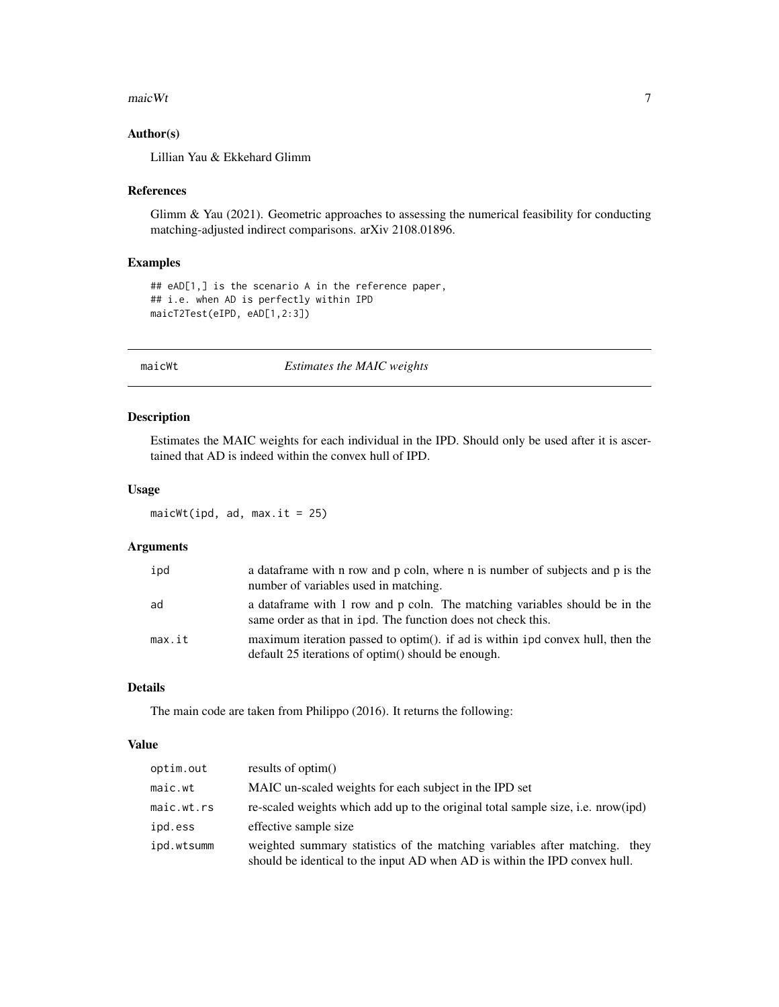#### <span id="page-6-0"></span> $\frac{1}{7}$  maicWt

#### Author(s)

Lillian Yau & Ekkehard Glimm

#### References

Glimm & Yau (2021). Geometric approaches to assessing the numerical feasibility for conducting matching-adjusted indirect comparisons. arXiv 2108.01896.

#### Examples

```
## eAD[1,] is the scenario A in the reference paper,
## i.e. when AD is perfectly within IPD
maicT2Test(eIPD, eAD[1,2:3])
```
maicWt *Estimates the MAIC weights*

#### Description

Estimates the MAIC weights for each individual in the IPD. Should only be used after it is ascertained that AD is indeed within the convex hull of IPD.

#### Usage

 $maicWt$ (ipd, ad,  $max.it = 25$ )

#### Arguments

| ipd    | a data frame with n row and p coln, where n is number of subjects and p is the<br>number of variables used in matching.                     |
|--------|---------------------------------------------------------------------------------------------------------------------------------------------|
| ad     | a data frame with 1 row and p coln. The matching variables should be in the<br>same order as that in ipd. The function does not check this. |
| max.it | maximum iteration passed to optim(). if ad is within 1pd convex hull, then the<br>default 25 iterations of optim() should be enough.        |

#### Details

The main code are taken from Philippo (2016). It returns the following:

#### Value

| optim.out  | results of optim()                                                                                                                                       |
|------------|----------------------------------------------------------------------------------------------------------------------------------------------------------|
| maic.wt    | MAIC un-scaled weights for each subject in the IPD set                                                                                                   |
| maic.wt.rs | re-scaled weights which add up to the original total sample size, i.e. nrow(ipd)                                                                         |
| ipd.ess    | effective sample size                                                                                                                                    |
| ipd.wtsumm | weighted summary statistics of the matching variables after matching. they<br>should be identical to the input AD when AD is within the IPD convex hull. |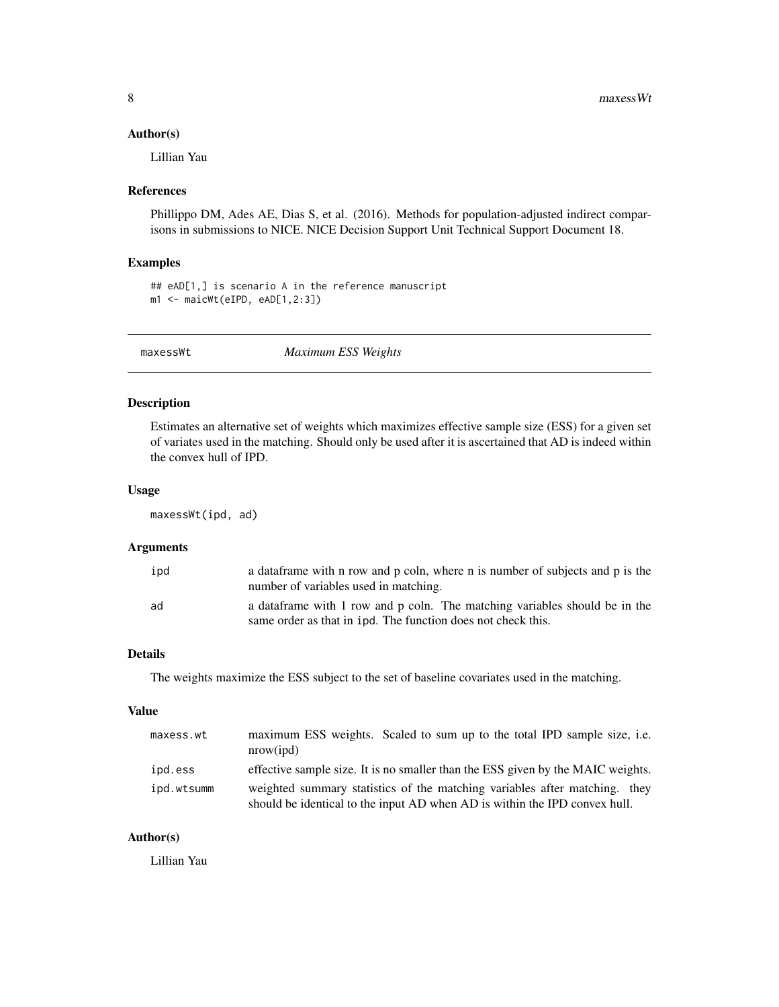#### <span id="page-7-0"></span>Author(s)

Lillian Yau

#### References

Phillippo DM, Ades AE, Dias S, et al. (2016). Methods for population-adjusted indirect comparisons in submissions to NICE. NICE Decision Support Unit Technical Support Document 18.

#### Examples

```
## eAD[1,] is scenario A in the reference manuscript
m1 <- maicWt(eIPD, eAD[1,2:3])
```
maxessWt *Maximum ESS Weights*

#### Description

Estimates an alternative set of weights which maximizes effective sample size (ESS) for a given set of variates used in the matching. Should only be used after it is ascertained that AD is indeed within the convex hull of IPD.

#### Usage

maxessWt(ipd, ad)

#### Arguments

| ipd | a data frame with n row and p coln, where n is number of subjects and p is the<br>number of variables used in matching.                     |
|-----|---------------------------------------------------------------------------------------------------------------------------------------------|
| ad  | a data frame with 1 row and p coln. The matching variables should be in the<br>same order as that in ipd. The function does not check this. |

#### Details

The weights maximize the ESS subject to the set of baseline covariates used in the matching.

#### Value

| maxess.wt  | maximum ESS weights. Scaled to sum up to the total IPD sample size, i.e.<br>nrow(ipd)                                                                    |
|------------|----------------------------------------------------------------------------------------------------------------------------------------------------------|
| ipd.ess    | effective sample size. It is no smaller than the ESS given by the MAIC weights.                                                                          |
| ipd.wtsumm | weighted summary statistics of the matching variables after matching. they<br>should be identical to the input AD when AD is within the IPD convex hull. |

#### Author(s)

Lillian Yau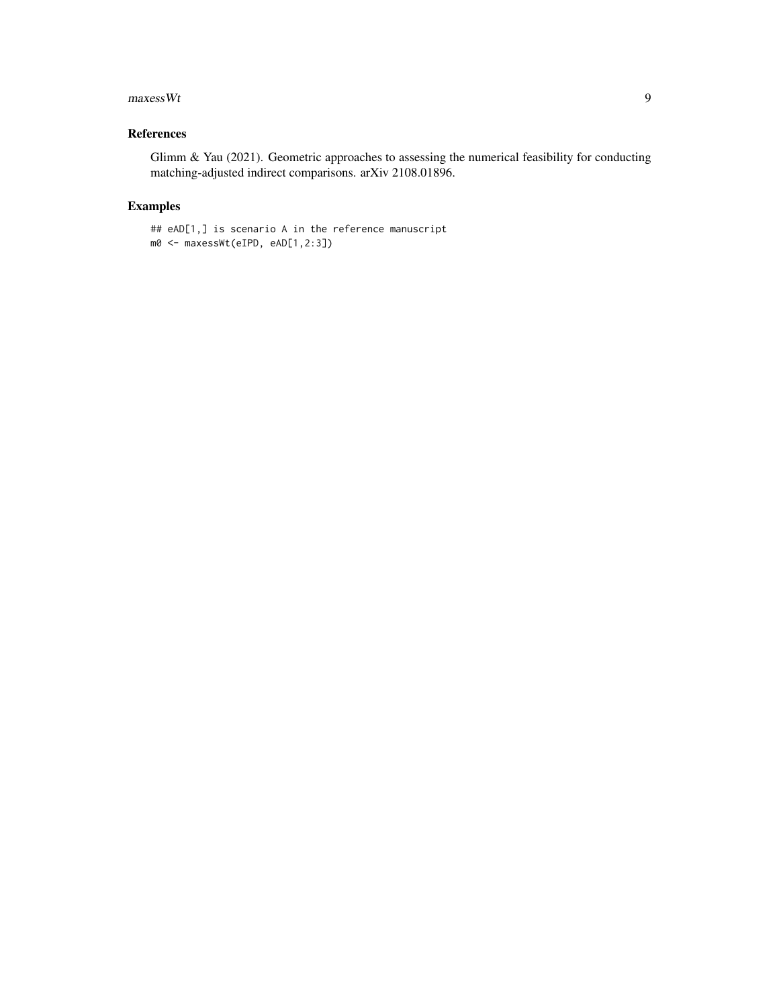#### $maxessWt$  9

#### References

Glimm & Yau (2021). Geometric approaches to assessing the numerical feasibility for conducting matching-adjusted indirect comparisons. arXiv 2108.01896.

#### Examples

```
## eAD[1,] is scenario A in the reference manuscript
m0 <- maxessWt(eIPD, eAD[1,2:3])
```